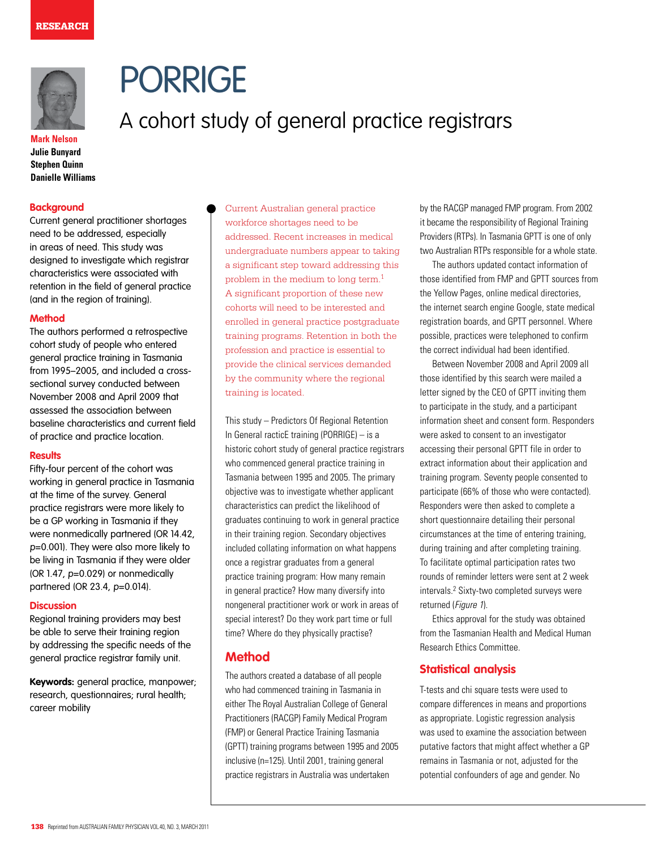

# PORRIGE

# A cohort study of general practice registrars

**Mark Nelson Julie Bunyard Stephen Quinn Danielle Williams**

# **Background**

Current general practitioner shortages need to be addressed, especially in areas of need. This study was designed to investigate which registrar characteristics were associated with retention in the field of general practice (and in the region of training).

### **Method**

The authors performed a retrospective cohort study of people who entered general practice training in Tasmania from 1995–2005, and included a crosssectional survey conducted between November 2008 and April 2009 that assessed the association between baseline characteristics and current field of practice and practice location.

#### **Results**

Fifty-four percent of the cohort was working in general practice in Tasmania at the time of the survey. General practice registrars were more likely to be a GP working in Tasmania if they were nonmedically partnered (OR 14.42, p=0.001). They were also more likely to be living in Tasmania if they were older (OR 1.47, p=0.029) or nonmedically partnered (OR 23.4, p=0.014).

#### **Discussion**

Regional training providers may best be able to serve their training region by addressing the specific needs of the general practice registrar family unit.

**Keywords:** general practice, manpower; research, questionnaires; rural health; career mobility

Current Australian general practice workforce shortages need to be addressed. Recent increases in medical undergraduate numbers appear to taking a significant step toward addressing this problem in the medium to long term.1 A significant proportion of these new cohorts will need to be interested and enrolled in general practice postgraduate training programs. Retention in both the profession and practice is essential to provide the clinical services demanded by the community where the regional training is located.

This study – Predictors Of Regional Retention In General racticE training (PORRIGE) – is a historic cohort study of general practice registrars who commenced general practice training in Tasmania between 1995 and 2005. The primary objective was to investigate whether applicant characteristics can predict the likelihood of graduates continuing to work in general practice in their training region. Secondary objectives included collating information on what happens once a registrar graduates from a general practice training program: How many remain in general practice? How many diversify into nongeneral practitioner work or work in areas of special interest? Do they work part time or full time? Where do they physically practise?

# **Method**

The authors created a database of all people who had commenced training in Tasmania in either The Royal Australian College of General Practitioners (RACGP) Family Medical Program (FMP) or General Practice Training Tasmania (GPTT) training programs between 1995 and 2005 inclusive (n=125). Until 2001, training general practice registrars in Australia was undertaken

by the RACGP managed FMP program. From 2002 it became the responsibility of Regional Training Providers (RTPs). In Tasmania GPTT is one of only two Australian RTPs responsible for a whole state.

The authors updated contact information of those identified from FMP and GPTT sources from the Yellow Pages, online medical directories, the internet search engine Google, state medical registration boards, and GPTT personnel. Where possible, practices were telephoned to confirm the correct individual had been identified.

Between November 2008 and April 2009 all those identified by this search were mailed a letter signed by the CEO of GPTT inviting them to participate in the study, and a participant information sheet and consent form. Responders were asked to consent to an investigator accessing their personal GPTT file in order to extract information about their application and training program. Seventy people consented to participate (66% of those who were contacted). Responders were then asked to complete a short questionnaire detailing their personal circumstances at the time of entering training, during training and after completing training. To facilitate optimal participation rates two rounds of reminder letters were sent at 2 week intervals.2 Sixty-two completed surveys were returned (Figure 1).

Ethics approval for the study was obtained from the Tasmanian Health and Medical Human Research Ethics Committee.

# **Statistical analysis**

T-tests and chi square tests were used to compare differences in means and proportions as appropriate. Logistic regression analysis was used to examine the association between putative factors that might affect whether a GP remains in Tasmania or not, adjusted for the potential confounders of age and gender. No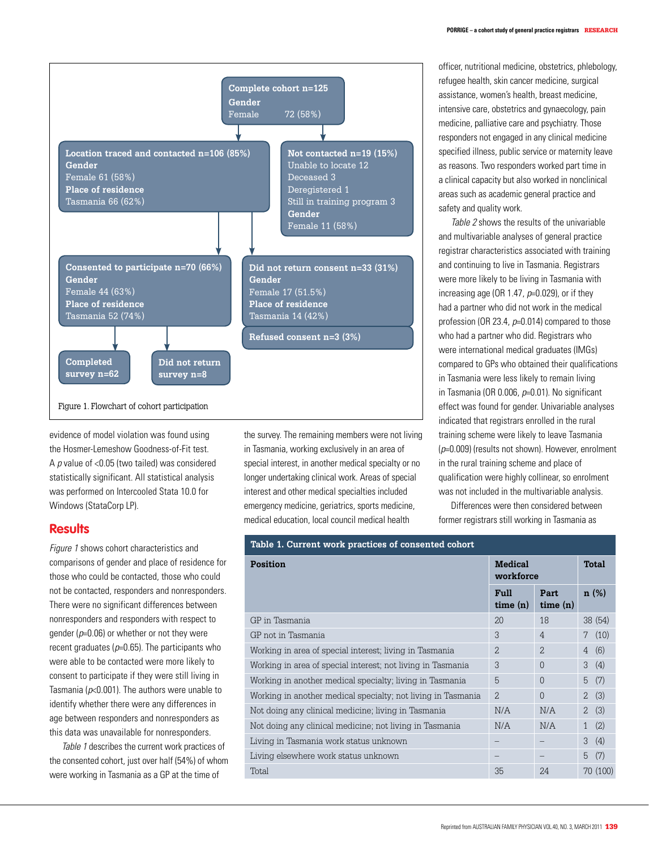

evidence of model violation was found using the Hosmer-Lemeshow Goodness-of-Fit test. A  $p$  value of <0.05 (two tailed) was considered statistically significant. All statistical analysis was performed on Intercooled Stata 10.0 for Windows (StataCorp LP).

# **Results**

Figure 1 shows cohort characteristics and comparisons of gender and place of residence for those who could be contacted, those who could not be contacted, responders and nonresponders. There were no significant differences between nonresponders and responders with respect to gender ( $p=0.06$ ) or whether or not they were recent graduates ( $p=0.65$ ). The participants who were able to be contacted were more likely to consent to participate if they were still living in Tasmania ( $p<0.001$ ). The authors were unable to identify whether there were any differences in age between responders and nonresponders as this data was unavailable for nonresponders.

Table 1 describes the current work practices of the consented cohort, just over half (54%) of whom were working in Tasmania as a GP at the time of

the survey. The remaining members were not living in Tasmania, working exclusively in an area of special interest, in another medical specialty or no longer undertaking clinical work. Areas of special interest and other medical specialties included emergency medicine, geriatrics, sports medicine, medical education, local council medical health

officer, nutritional medicine, obstetrics, phlebology, refugee health, skin cancer medicine, surgical assistance, women's health, breast medicine, intensive care, obstetrics and gynaecology, pain medicine, palliative care and psychiatry. Those responders not engaged in any clinical medicine specified illness, public service or maternity leave as reasons. Two responders worked part time in a clinical capacity but also worked in nonclinical areas such as academic general practice and safety and quality work.

Table 2 shows the results of the univariable and multivariable analyses of general practice registrar characteristics associated with training and continuing to live in Tasmania. Registrars were more likely to be living in Tasmania with increasing age (OR 1.47,  $p=0.029$ ), or if they had a partner who did not work in the medical profession (OR 23.4, p=0.014) compared to those who had a partner who did. Registrars who were international medical graduates (IMGs) compared to GPs who obtained their qualifications in Tasmania were less likely to remain living in Tasmania (OR 0.006,  $p=0.01$ ). No significant effect was found for gender. Univariable analyses indicated that registrars enrolled in the rural training scheme were likely to leave Tasmania  $(p=0.009)$  (results not shown). However, enrolment in the rural training scheme and place of qualification were highly collinear, so enrolment was not included in the multivariable analysis.

Differences were then considered between former registrars still working in Tasmania as

| Table 1. Current work practices of consented cohort          |                             |                  |                       |  |  |
|--------------------------------------------------------------|-----------------------------|------------------|-----------------------|--|--|
| Position                                                     | <b>Medical</b><br>workforce |                  | Total                 |  |  |
|                                                              | Full<br>time(n)             | Part.<br>time(n) | n(%)                  |  |  |
| GP in Tasmania                                               | 20                          | 18               | 38(54)                |  |  |
| GP not in Tasmania                                           | 3                           | $\overline{4}$   | (10)<br>7             |  |  |
| Working in area of special interest; living in Tasmania      | $\overline{2}$              | $\mathcal{D}$    | (6)<br>$\overline{4}$ |  |  |
| Working in area of special interest; not living in Tasmania  | 3                           | $\Omega$         | (4)<br>3              |  |  |
| Working in another medical specialty; living in Tasmania     | 5                           | $\Omega$         | (7)<br>5              |  |  |
| Working in another medical specialty; not living in Tasmania | $\mathfrak{D}$              | $\Omega$         | (3)<br>$\overline{2}$ |  |  |
| Not doing any clinical medicine; living in Tasmania          | N/A                         | N/A              | (3)<br>$\overline{2}$ |  |  |
| Not doing any clinical medicine; not living in Tasmania      | N/A                         | N/A              | (2)<br>$\mathbf{1}$   |  |  |
| Living in Tasmania work status unknown                       |                             |                  | (4)<br>3              |  |  |
| Living elsewhere work status unknown                         |                             |                  | (7)<br>5              |  |  |
| Total                                                        | 35                          | 24               | 70 (100)              |  |  |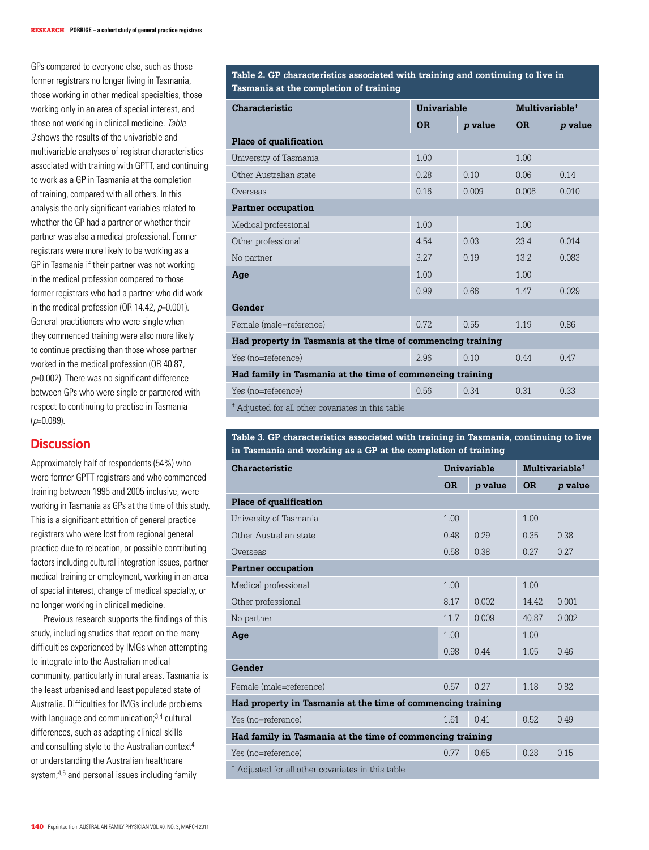GPs compared to everyone else, such as those former registrars no longer living in Tasmania, those working in other medical specialties, those working only in an area of special interest, and those not working in clinical medicine. Table 3 shows the results of the univariable and multivariable analyses of registrar characteristics associated with training with GPTT, and continuing to work as a GP in Tasmania at the completion of training, compared with all others. In this analysis the only significant variables related to whether the GP had a partner or whether their partner was also a medical professional. Former registrars were more likely to be working as a GP in Tasmania if their partner was not working in the medical profession compared to those former registrars who had a partner who did work in the medical profession (OR 14.42,  $p=0.001$ ). General practitioners who were single when they commenced training were also more likely to continue practising than those whose partner worked in the medical profession (OR 40.87,  $p=0.002$ ). There was no significant difference between GPs who were single or partnered with respect to continuing to practise in Tasmania  $(p=0.089)$ .

# **Discussion**

Approximately half of respondents (54%) who were former GPTT registrars and who commenced training between 1995 and 2005 inclusive, were working in Tasmania as GPs at the time of this study. This is a significant attrition of general practice registrars who were lost from regional general practice due to relocation, or possible contributing factors including cultural integration issues, partner medical training or employment, working in an area of special interest, change of medical specialty, or no longer working in clinical medicine.

Previous research supports the findings of this study, including studies that report on the many difficulties experienced by IMGs when attempting to integrate into the Australian medical community, particularly in rural areas. Tasmania is the least urbanised and least populated state of Australia. Difficulties for IMGs include problems with language and communication;<sup>3,4</sup> cultural differences, such as adapting clinical skills and consulting style to the Australian context<sup>4</sup> or understanding the Australian healthcare system;4,5 and personal issues including family

**Table 2. GP characteristics associated with training and continuing to live in Tasmania at the completion of training**

| Characteristic                                               | Univariable |                | Multivariable <sup>†</sup> |                |  |  |
|--------------------------------------------------------------|-------------|----------------|----------------------------|----------------|--|--|
|                                                              | <b>OR</b>   | <i>p</i> value | <b>OR</b>                  | <i>p</i> value |  |  |
| Place of qualification                                       |             |                |                            |                |  |  |
| University of Tasmania                                       | 1.00        |                | 1.00                       |                |  |  |
| Other Australian state                                       | 0.28        | 0.10           | 0.06                       | 0.14           |  |  |
| Overseas                                                     | 0.16        | 0.009          | 0.006                      | 0.010          |  |  |
| <b>Partner occupation</b>                                    |             |                |                            |                |  |  |
| Medical professional                                         | 1.00        |                | 1.00                       |                |  |  |
| Other professional                                           | 4.54        | 0.03           | 23.4                       | 0.014          |  |  |
| No partner                                                   | 3.27        | 0.19           | 13.2.                      | 0.083          |  |  |
| Age                                                          | 1.00        |                | 1.00                       |                |  |  |
|                                                              | 0.99        | 0.66           | 1.47                       | 0.029          |  |  |
| Gender                                                       |             |                |                            |                |  |  |
| Female (male=reference)                                      | 0.72.       | 0.55           | 1.19                       | 0.86           |  |  |
| Had property in Tasmania at the time of commencing training  |             |                |                            |                |  |  |
| Yes (no=reference)                                           | 2.96        | 0.10           | 0.44                       | 0.47           |  |  |
| Had family in Tasmania at the time of commencing training    |             |                |                            |                |  |  |
| Yes (no=reference)                                           | 0.56        | 0.34           | 0.31                       | 0.33           |  |  |
| <sup>†</sup> Adjusted for all other covariates in this table |             |                |                            |                |  |  |

### **Table 3. GP characteristics associated with training in Tasmania, continuing to live in Tasmania and working as a GP at the completion of training**

| Characteristic                                               |           | Univariable    |           | Multivariable <sup>†</sup> |  |  |
|--------------------------------------------------------------|-----------|----------------|-----------|----------------------------|--|--|
|                                                              | <b>OR</b> | <i>p</i> value | <b>OR</b> | <i>p</i> value             |  |  |
| Place of qualification                                       |           |                |           |                            |  |  |
| University of Tasmania                                       | 1.00      |                | 1.00      |                            |  |  |
| Other Australian state                                       | 0.48      | 0.29           | 0.35      | 0.38                       |  |  |
| Overseas                                                     | 0.58      | 0.38           | 0.27      | 0.27                       |  |  |
| <b>Partner occupation</b>                                    |           |                |           |                            |  |  |
| Medical professional                                         | 1.00      |                | 1.00      |                            |  |  |
| Other professional                                           | 8.17      | 0.002          | 14.42     | 0.001                      |  |  |
| No partner                                                   | 11.7      | 0.009          | 40.87     | 0.002                      |  |  |
| Age                                                          | 1.00      |                | 1.00      |                            |  |  |
|                                                              | 0.98      | 0.44           | 1.05      | 0.46                       |  |  |
| Gender                                                       |           |                |           |                            |  |  |
| Female (male=reference)                                      | 0.57      | 0.27           | 1.18      | 0.82.                      |  |  |
| Had property in Tasmania at the time of commencing training  |           |                |           |                            |  |  |
| Yes (no=reference)                                           | 1.61      | 0.41           | 0.52.     | 0.49                       |  |  |
| Had family in Tasmania at the time of commencing training    |           |                |           |                            |  |  |
| Yes (no=reference)                                           | 0.77      | 0.65           | 0.28      | 0.15                       |  |  |
| <sup>†</sup> Adjusted for all other covariates in this table |           |                |           |                            |  |  |